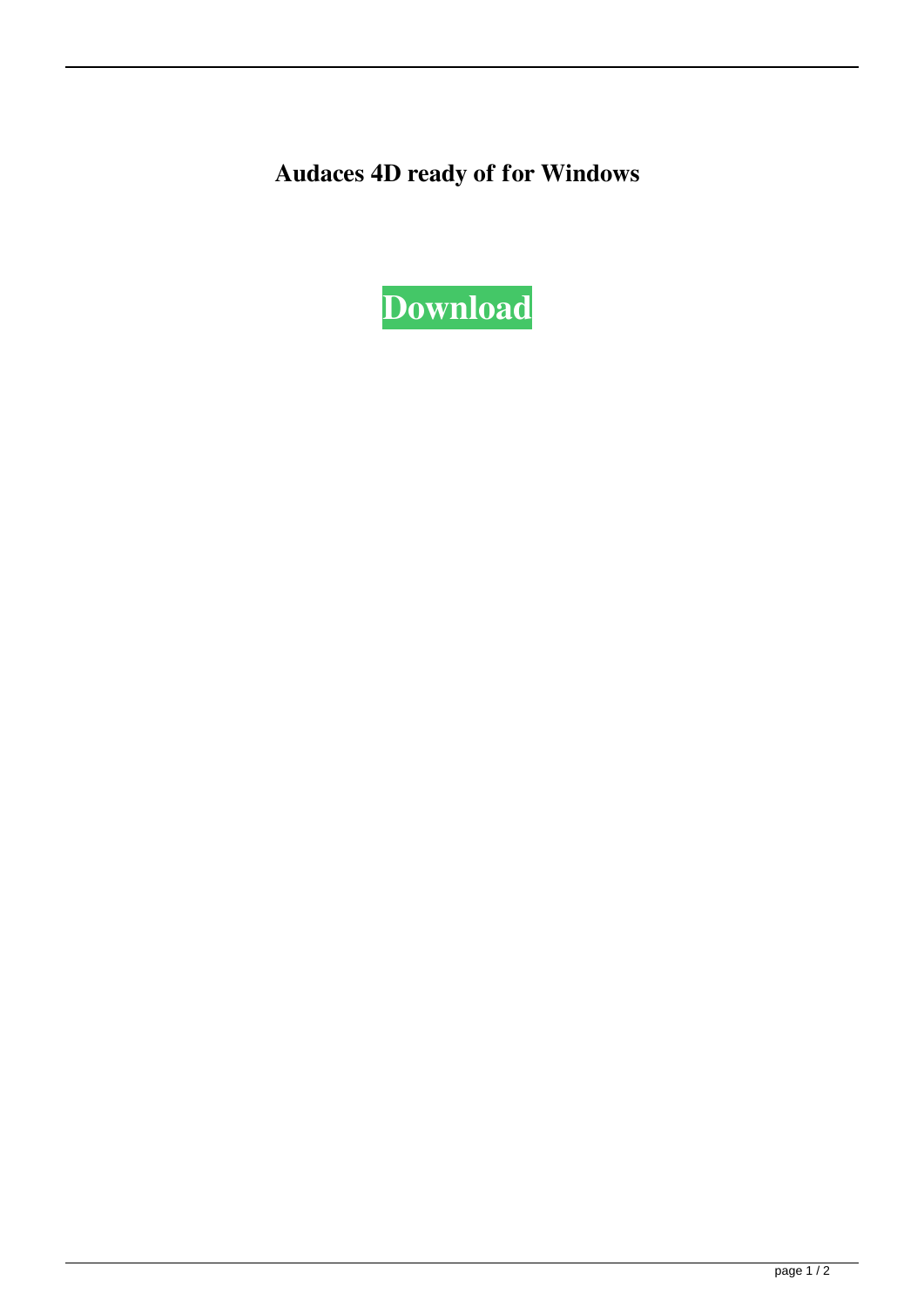**Audaces 4D ready of for Windows**